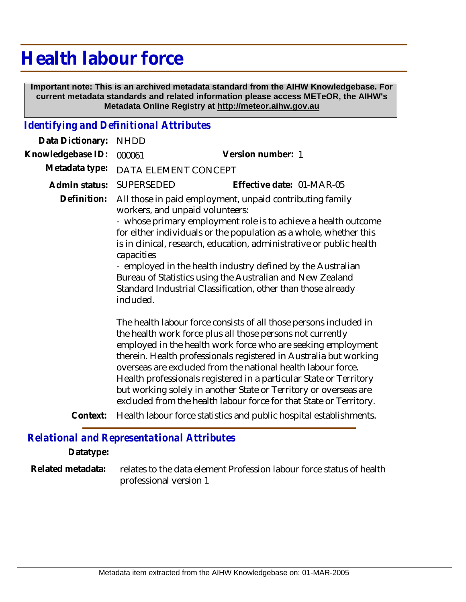## **Health labour force**

 **Important note: This is an archived metadata standard from the AIHW Knowledgebase. For current metadata standards and related information please access METeOR, the AIHW's Metadata Online Registry at http://meteor.aihw.gov.au**

## *Identifying and Definitional Attributes*

| Data Dictionary:  | <b>NHDD</b>             |                                                                                                                                                                                                                                                                                                                                                                                                                                                                                                                                                      |
|-------------------|-------------------------|------------------------------------------------------------------------------------------------------------------------------------------------------------------------------------------------------------------------------------------------------------------------------------------------------------------------------------------------------------------------------------------------------------------------------------------------------------------------------------------------------------------------------------------------------|
| Knowledgebase ID: | 000061                  | Version number: 1                                                                                                                                                                                                                                                                                                                                                                                                                                                                                                                                    |
| Metadata type:    | DATA ELEMENT CONCEPT    |                                                                                                                                                                                                                                                                                                                                                                                                                                                                                                                                                      |
| Admin status:     | SUPERSEDED              | Effective date: 01-MAR-05                                                                                                                                                                                                                                                                                                                                                                                                                                                                                                                            |
| Definition:       | capacities<br>included. | All those in paid employment, unpaid contributing family<br>workers, and unpaid volunteers:<br>- whose primary employment role is to achieve a health outcome<br>for either individuals or the population as a whole, whether this<br>is in clinical, research, education, administrative or public health<br>- employed in the health industry defined by the Australian<br>Bureau of Statistics using the Australian and New Zealand<br>Standard Industrial Classification, other than those already                                               |
|                   |                         | The health labour force consists of all those persons included in<br>the health work force plus all those persons not currently<br>employed in the health work force who are seeking employment<br>therein. Health professionals registered in Australia but working<br>overseas are excluded from the national health labour force.<br>Health professionals registered in a particular State or Territory<br>but working solely in another State or Territory or overseas are<br>excluded from the health labour force for that State or Territory. |
|                   |                         | Contout. Uselth lebour force statistics and public hospital establishments                                                                                                                                                                                                                                                                                                                                                                                                                                                                           |

**Context:** Health labour force statistics and public hospital establishments.

## *Relational and Representational Attributes*

**Datatype:**

relates to the data element Profession labour force status of health professional version 1 **Related metadata:**